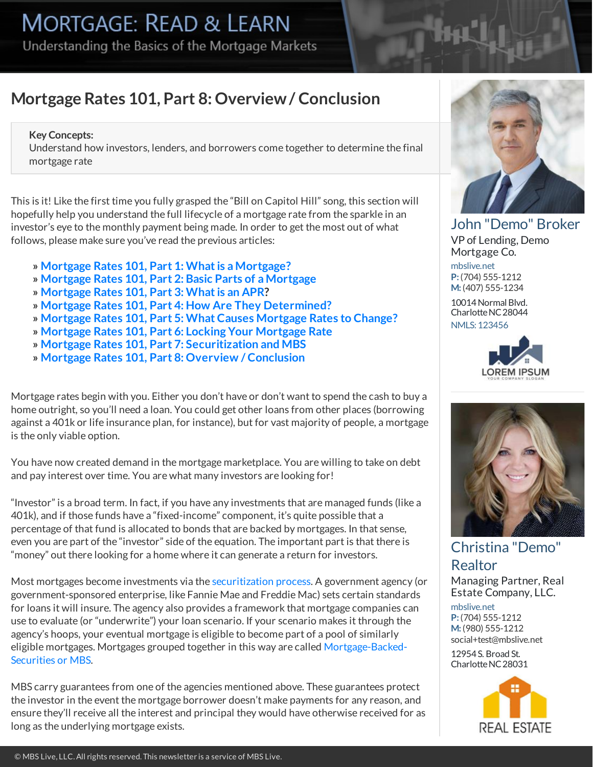Understanding the Basics of the Mortgage Markets

## **Mortgage Rates 101, Part 8:Overview/ Conclusion**

### **Key Concepts:**

Understand how investors, lenders, and borrowerscome together to determine the final mortgage rate

This is it! Like the first time you fully grasped the "Bill on Capitol Hill" song, this section will hopefully help you understand the full lifecycle of amortgage rate from the sparkle in an investor's eye to the monthly payment being made. In order to get the most out of what follows, please make sure you've read the previous articles:

- **» Mortgage Rates 101, Part 1: Whatis [aMortgage?](https://housingbrief.com/article/kb/5e7b70091323841070cee818/4fe094ce507eae1940222551/5e14982541d9a81030e9358a)**
- **» Mortgage Rates 101, Part 2: Basic Parts of [aMortgage](https://housingbrief.com/article/kb/5e7b706a1323841070cee86d/4fe094ce507eae1940222551/5e14982541d9a81030e9358a)**
- **» [Mortgage](https://housingbrief.com/article/kb/5e7b709d1323841070cee8c2/4fe094ce507eae1940222551/5e14982541d9a81030e9358a) Rates 101, Part 3: Whatis an APR?**
- **» Mortgage Rates 101, Part 4:How Are They [Determined?](https://housingbrief.com/article/kb/5e7b712a1323841070cee917/4fe094ce507eae1940222551/5e14982541d9a81030e9358a)**
- **» [Mortgage](https://housingbrief.com/article/kb/5e7b6de91323841070cee7c3/4fe094ce507eae1940222551/5e14982541d9a81030e9358a) Rates 101, Part 5: What Causes Mortgage Ratesto Change?**
- **» [Mortgage](https://housingbrief.com/article/kb/5e7b6d741323841070cee719/4fe094ce507eae1940222551/5e14982541d9a81030e9358a) Rates 101, Part 6: Locking Your Mortgage Rate**
- **» Mortgage Rates 101, Part 7: [Securitization](https://housingbrief.com/article/kb/5e7b71781323841070cee96c/4fe094ce507eae1940222551/5e14982541d9a81030e9358a) and MBS**
- **» Mortgage Rates 101, Part [8:Overview](https://housingbrief.com/article/kb/5e7b76131323841070cee9c4/4fe094ce507eae1940222551/5e14982541d9a81030e9358a) / Conclusion**

Mortgage rates begin with you. Either you don't have or don't want to spend the cash to buy a home outright, so you'll need a loan. You could get other loans from other places (borrowing against a 401k or life insurance plan, for instance), but for vastmajority of people, amortgage is the only viable option.

You have now created demand in the mortgage marketplace. You are willing to take on debt and pay interest over time. You are what many investors are looking for!

"Investor" is a broad term. In fact, if you have any investmentsthat aremanaged funds(like a 401k), and if those funds have a "fixed-income"component, it's quite possible that a percentage of that fund is allocated to bonds that are backed by mortgages. In that sense, even you are part of the "investor" side of the equation. The important part is that there is "money" out there looking for a home where it can generate a return for investors.

Mostmortgages become investments via the [securitization](https://housingbrief.com/article/kb/5e7b71781323841070cee96c/4fe094ce507eae1940222551/5e14982541d9a81030e9358a) process. A government agency (or government-sponsored enterprise, like Fannie Mae and Freddie Mac) sets certain standards for loans it will insure. The agency also provides a framework that mortgage companies can use to evaluate (or "underwrite") your loan scenario. If your scenario makesit through the agency's hoops, your eventual mortgage is eligible to become part of a pool of similarly [eligiblemortgages.](https://housingbrief.com/article/kb/51940dbf507eae472c7fb55d/4fe094ce507eae1940222551/5e14982541d9a81030e9358a) Mortgages grouped together in this way are called Mortgage-Backed-Securities or MBS.

MBS carry guarantees from one of the agencies mentioned above. These guarantees protect the investor in the event the mortgage borrower doesn't make payments for any reason, and ensure they'll receive all the interest and principal they would have otherwise received for as long as the underlying mortgage exists.



John ["Demo"](http://www.mbslive.net) Broker VP of Lending, Demo Mortgage Co.

[mbslive.net](http://www.mbslive.net) **P:**(704) [555-1212](tel:(704)%20555-1212) **M:**(407) [555-1234](tel:(407)%20555-1234)

10014 Normal Blvd. Charlotte NC 28044 NMLS: [123456](https://nationwidelicensingsystem.org/)





### [Christina](http://www.mbslive.net) "Demo" Realtor

Managing Partner, Real Estate Company, LLC.

[mbslive.net](http://www.mbslive.net) **P:**(704) [555-1212](tel:(704)%20555-1212) **M:**(980) [555-1212](tel:(980)%20555-1212) [social+test@mbslive.net](mailto:social+test@mbslive.net)

12954S. Broad St. Charlotte NC 28031

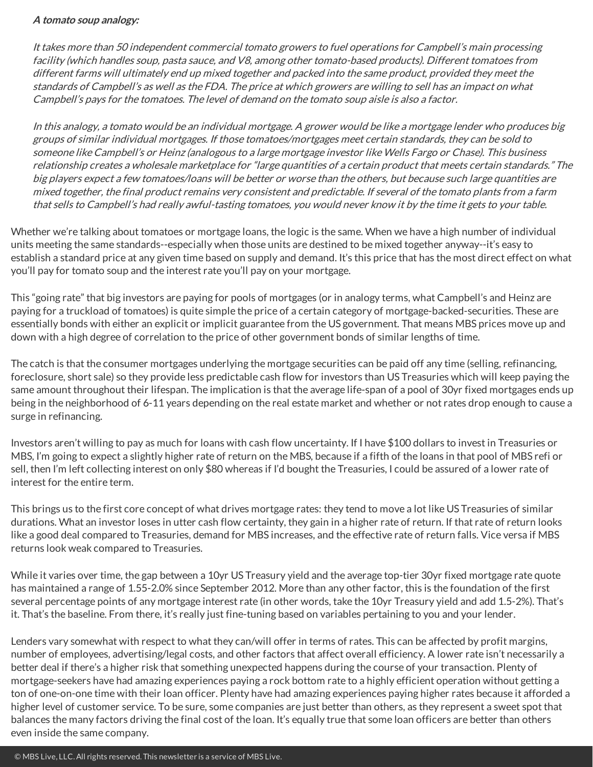#### **A tomato soup analogy:**

It takes more than 50 independent commercial tomato growers to fuel operations for Campbell's main processing facility (which handles soup, pasta sauce, and V8, among other tomato-based products). Different tomatoes from different farms will ultimately end up mixed together and packed into the same product, provided theymeet the standards of Campbell's as well asthe FDA. The price atwhich growers arewilling to sell has an impact on what Campbell's paysfor the tomatoes. The level of demand on the tomato soup aisle is also <sup>a</sup> factor.

In this analogy, <sup>a</sup> tomato would be an individual mortgage. A grower would be like amortgage lender who produces big groups of similar individual mortgages. If those tomatoes/mortgagesmeetcertain standards, they can be sold to someone like Campbell's or Heinz (analogous to a large mortgage investor like Wells Fargo or Chase). This business relationship creates a wholesale marketplace for "large quantities of a certain product that meets certain standards." The big players expect <sup>a</sup> few tomatoes/loans will be better or worse than the others, but because such large quantities are mixed together, the final product remains very consistent and predictable. If several of the tomato plants from a farm that sells to Campbell's had really awful-tasting tomatoes, you would never know it by the time it gets to your table.

Whether we're talking about tomatoes or mortgage loans, the logic is the same. When we have a high number of individual units meeting the same standards--especially when those units are destined to bemixed together anyway--it's easy to establish a standard price at any given time based on supply and demand. It's this price that has the most direct effect on what you'll pay for tomato soup and the interest rate you'll pay on your mortgage.

This"going rate" that big investors are paying for pools of mortgages(or in analogy terms, what Campbell's and Heinz are paying for a truckload of tomatoes) is quite simple the price of a certain category of mortgage-backed-securities. These are essentially bonds with either an explicit or implicit guarantee from the US government. That means MBS prices move up and down with a high degree of correlation to the price of other government bonds of similar lengths of time.

The catch is that the consumer mortgages underlying the mortgage securities can be paid off any time (selling, refinancing, foreclosure, short sale) so they provide less predictable cash flow for investors than US Treasuries which will keep paying the same amount throughout their lifespan. The implication isthat the average life-span of a pool of 30yr fixed mortgages ends up being in the neighborhood of 6-11 years depending on the real estate market and whether or not rates drop enough to cause a surge in refinancing.

Investors aren't willing to pay as much for loans with cash flow uncertainty. If I have \$100 dollarsto invest in Treasuries or MBS, I'm going to expect a slightly higher rate of return on the MBS, because if a fifth of the loansin that pool of MBS refi or sell, then I'm left collecting interest on only \$80 whereas if I'd bought the Treasuries, I could be assured of a lower rate of interest for the entire term.

This brings us to the first core concept of what drives mortgage rates: they tend to move a lot like US Treasuries of similar durations. What an investor loses in utter cash flow certainty, they gain in a higher rate of return. If that rate of return looks like a good deal compared to Treasuries, demand for MBS increases, and the effective rate of return falls. Vice versa if MBS returnslookweak compared to Treasuries.

While it varies over time, the gap between a 10yr US Treasury yield and the average top-tier 30yr fixed mortgage rate quote has maintained a range of 1.55-2.0% since September 2012. More than any other factor, this is the foundation of the first several percentage points of any mortgage interest rate (in other words, take the 10yr Treasury yield and add 1.5-2%). That's it. That's the baseline. From there, it's really just fine-tuning based on variables pertaining to you and your lender.

Lenders vary somewhat with respect to what they can/will offer in terms of rates. This can be affected by profit margins, number of employees, advertising/legal costs, and other factors that affect overall efficiency. A lower rate isn't necessarily a better deal if there's a higher risk that something unexpected happens during the course of your transaction. Plenty of mortgage-seekers have had amazing experiences paying a rock bottom rate to a highly efficient operation without getting a ton of one-on-one timewith their loan officer. Plenty have had amazing experiences paying higher rates because it afforded a higher level of customer service. To be sure, some companies are just better than others, as they represent a sweet spot that balances the many factors driving the final cost of the loan. It's equally true that some loan officers are better than others even inside the same company.